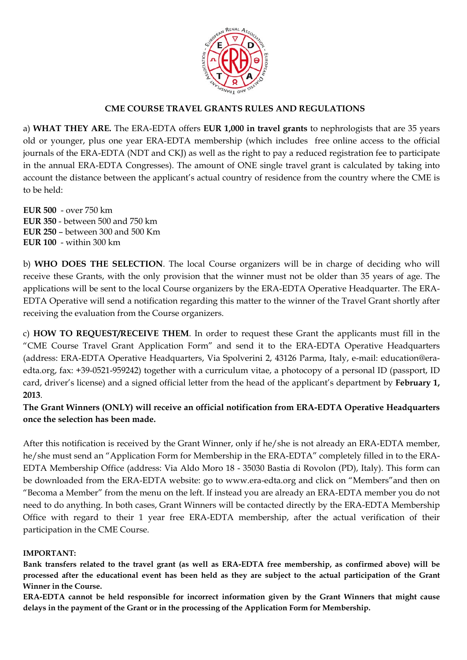

### **CME COURSE TRAVEL GRANTS RULES AND REGULATIONS**

a) **WHAT THEY ARE.** The ERA-EDTA offers **EUR 1,000 in travel grants** to nephrologists that are 35 years old or younger, plus one year ERA-EDTA membership (which includes free online access to the official journals of the ERA-EDTA (NDT and CKJ) as well as the right to pay a reduced registration fee to participate in the annual ERA-EDTA Congresses). The amount of ONE single travel grant is calculated by taking into account the distance between the applicant's actual country of residence from the country where the CME is to be held:

**EUR 500** - over 750 km **EUR 350** - between 500 and 750 km **EUR 250** – between 300 and 500 Km **EUR 100** - within 300 km

b) **WHO DOES THE SELECTION**. The local Course organizers will be in charge of deciding who will receive these Grants, with the only provision that the winner must not be older than 35 years of age. The applications will be sent to the local Course organizers by the ERA-EDTA Operative Headquarter. The ERA-EDTA Operative will send a notification regarding this matter to the winner of the Travel Grant shortly after receiving the evaluation from the Course organizers.

c) **HOW TO REQUEST/RECEIVE THEM**. In order to request these Grant the applicants must fill in the "CME Course Travel Grant Application Form" and send it to the ERA-EDTA Operative Headquarters (address: ERA-EDTA Operative Headquarters, Via Spolverini 2, 43126 Parma, Italy, e-mail: education@eraedta.org, fax: +39-0521-959242) together with a curriculum vitae, a photocopy of a personal ID (passport, ID card, driver's license) and a signed official letter from the head of the applicant's department by **February 1, 2013**.

**The Grant Winners (ONLY) will receive an official notification from ERA-EDTA Operative Headquarters once the selection has been made.** 

After this notification is received by the Grant Winner, only if he/she is not already an ERA-EDTA member, he/she must send an "Application Form for Membership in the ERA-EDTA" completely filled in to the ERA-EDTA Membership Office (address: Via Aldo Moro 18 - 35030 Bastia di Rovolon (PD), Italy). This form can be downloaded from the ERA-EDTA website: go to www.era-edta.org and click on "Members"and then on "Becoma a Member" from the menu on the left. If instead you are already an ERA-EDTA member you do not need to do anything. In both cases, Grant Winners will be contacted directly by the ERA-EDTA Membership Office with regard to their 1 year free ERA-EDTA membership, after the actual verification of their participation in the CME Course.

#### **IMPORTANT:**

**Bank transfers related to the travel grant (as well as ERA-EDTA free membership, as confirmed above) will be processed after the educational event has been held as they are subject to the actual participation of the Grant Winner in the Course.** 

**ERA-EDTA cannot be held responsible for incorrect information given by the Grant Winners that might cause delays in the payment of the Grant or in the processing of the Application Form for Membership.**